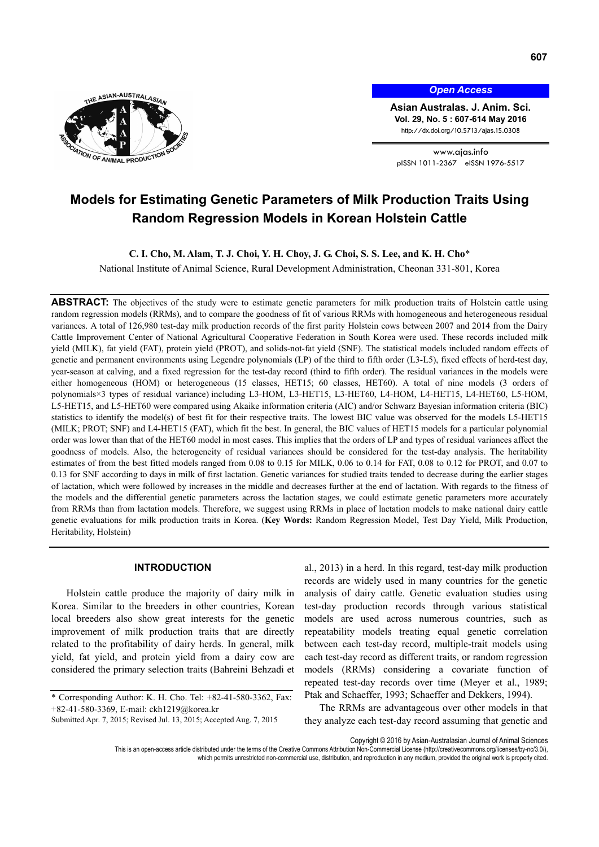

*Open Access*

**Asian Australas. J. Anim. Sci. Vol. 29, No. 5 : 607-614 May 2016**  http://dx.doi.org/10.5713/ajas.15.0308

www.ajas.info pISSN 1011-2367 eISSN 1976-5517

# **Models for Estimating Genetic Parameters of Milk Production Traits Using Random Regression Models in Korean Holstein Cattle**

**C. I. Cho, M. Alam, T. J. Choi, Y. H. Choy, J. G. Choi, S. S. Lee, and K. H. Cho**\*

National Institute of Animal Science, Rural Development Administration, Cheonan 331-801, Korea

**ABSTRACT:** The objectives of the study were to estimate genetic parameters for milk production traits of Holstein cattle using random regression models (RRMs), and to compare the goodness of fit of various RRMs with homogeneous and heterogeneous residual variances. A total of 126,980 test-day milk production records of the first parity Holstein cows between 2007 and 2014 from the Dairy Cattle Improvement Center of National Agricultural Cooperative Federation in South Korea were used. These records included milk yield (MILK), fat yield (FAT), protein yield (PROT), and solids-not-fat yield (SNF). The statistical models included random effects of genetic and permanent environments using Legendre polynomials (LP) of the third to fifth order (L3-L5), fixed effects of herd-test day, year-season at calving, and a fixed regression for the test-day record (third to fifth order). The residual variances in the models were either homogeneous (HOM) or heterogeneous (15 classes, HET15; 60 classes, HET60). A total of nine models (3 orders of polynomials×3 types of residual variance) including L3-HOM, L3-HET15, L3-HET60, L4-HOM, L4-HET15, L4-HET60, L5-HOM, L5-HET15, and L5-HET60 were compared using Akaike information criteria (AIC) and/or Schwarz Bayesian information criteria (BIC) statistics to identify the model(s) of best fit for their respective traits. The lowest BIC value was observed for the models L5-HET15 (MILK; PROT; SNF) and L4-HET15 (FAT), which fit the best. In general, the BIC values of HET15 models for a particular polynomial order was lower than that of the HET60 model in most cases. This implies that the orders of LP and types of residual variances affect the goodness of models. Also, the heterogeneity of residual variances should be considered for the test-day analysis. The heritability estimates of from the best fitted models ranged from 0.08 to 0.15 for MILK, 0.06 to 0.14 for FAT, 0.08 to 0.12 for PROT, and 0.07 to 0.13 for SNF according to days in milk of first lactation. Genetic variances for studied traits tended to decrease during the earlier stages of lactation, which were followed by increases in the middle and decreases further at the end of lactation. With regards to the fitness of the models and the differential genetic parameters across the lactation stages, we could estimate genetic parameters more accurately from RRMs than from lactation models. Therefore, we suggest using RRMs in place of lactation models to make national dairy cattle genetic evaluations for milk production traits in Korea. (**Key Words:** Random Regression Model, Test Day Yield, Milk Production, Heritability, Holstein)

# **INTRODUCTION**

Holstein cattle produce the majority of dairy milk in Korea. Similar to the breeders in other countries, Korean local breeders also show great interests for the genetic improvement of milk production traits that are directly related to the profitability of dairy herds. In general, milk yield, fat yield, and protein yield from a dairy cow are considered the primary selection traits (Bahreini Behzadi et al., 2013) in a herd. In this regard, test-day milk production records are widely used in many countries for the genetic analysis of dairy cattle. Genetic evaluation studies using test-day production records through various statistical models are used across numerous countries, such as repeatability models treating equal genetic correlation between each test-day record, multiple-trait models using each test-day record as different traits, or random regression models (RRMs) considering a covariate function of repeated test-day records over time (Meyer et al., 1989; Ptak and Schaeffer, 1993; Schaeffer and Dekkers, 1994).

The RRMs are advantageous over other models in that they analyze each test-day record assuming that genetic and

Copyright © 2016 by Asian-Australasian Journal of Animal Sciences

This is an open-access article distributed under the terms of the Creative Commons Attribution Non-Commercial License (http://creativecommons.org/licenses/by-nc/3.0/), which permits unrestricted non-commercial use, distribution, and reproduction in any medium, provided the original work is properly cited.

<sup>\*</sup> Corresponding Author: K. H. Cho. Tel: +82-41-580-3362, Fax: +82-41-580-3369, E-mail: ckh1219@korea.kr

Submitted Apr. 7, 2015; Revised Jul. 13, 2015; Accepted Aug. 7, 2015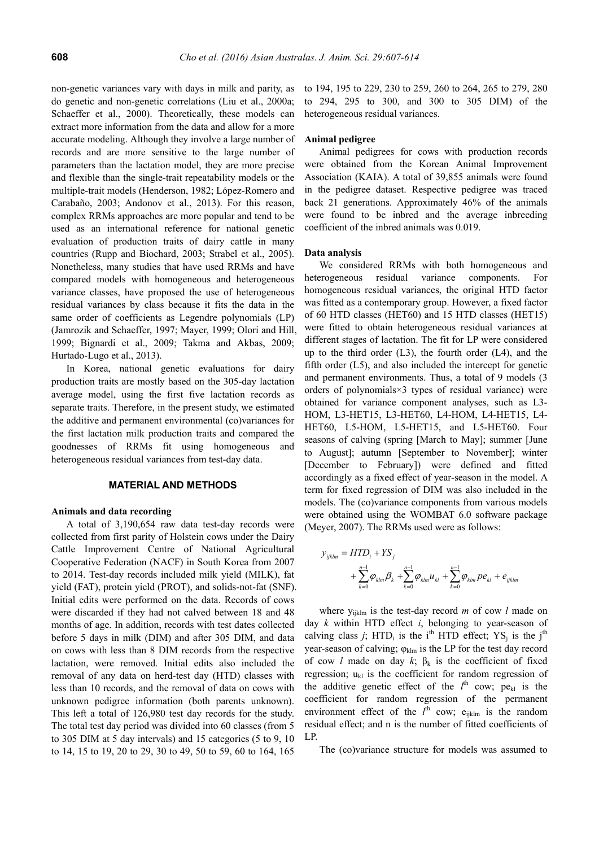non-genetic variances vary with days in milk and parity, as do genetic and non-genetic correlations (Liu et al., 2000a; Schaeffer et al., 2000). Theoretically, these models can extract more information from the data and allow for a more accurate modeling. Although they involve a large number of records and are more sensitive to the large number of parameters than the lactation model, they are more precise and flexible than the single-trait repeatability models or the multiple-trait models (Henderson, 1982; López-Romero and Carabaño, 2003; Andonov et al., 2013). For this reason, complex RRMs approaches are more popular and tend to be used as an international reference for national genetic evaluation of production traits of dairy cattle in many countries (Rupp and Biochard, 2003; Strabel et al., 2005). Nonetheless, many studies that have used RRMs and have compared models with homogeneous and heterogeneous variance classes, have proposed the use of heterogeneous residual variances by class because it fits the data in the same order of coefficients as Legendre polynomials (LP) (Jamrozik and Schaeffer, 1997; Mayer, 1999; Olori and Hill, 1999; Bignardi et al., 2009; Takma and Akbas, 2009; Hurtado-Lugo et al., 2013).

In Korea, national genetic evaluations for dairy production traits are mostly based on the 305-day lactation average model, using the first five lactation records as separate traits. Therefore, in the present study, we estimated the additive and permanent environmental (co)variances for the first lactation milk production traits and compared the goodnesses of RRMs fit using homogeneous and heterogeneous residual variances from test-day data.

## **MATERIAL AND METHODS**

## **Animals and data recording**

A total of 3,190,654 raw data test-day records were collected from first parity of Holstein cows under the Dairy Cattle Improvement Centre of National Agricultural Cooperative Federation (NACF) in South Korea from 2007 to 2014. Test-day records included milk yield (MILK), fat yield (FAT), protein yield (PROT), and solids-not-fat (SNF). Initial edits were performed on the data. Records of cows were discarded if they had not calved between 18 and 48 months of age. In addition, records with test dates collected before 5 days in milk (DIM) and after 305 DIM, and data on cows with less than 8 DIM records from the respective lactation, were removed. Initial edits also included the removal of any data on herd-test day (HTD) classes with less than 10 records, and the removal of data on cows with unknown pedigree information (both parents unknown). This left a total of 126,980 test day records for the study. The total test day period was divided into 60 classes (from 5 to 305 DIM at 5 day intervals) and 15 categories (5 to 9, 10 to 14, 15 to 19, 20 to 29, 30 to 49, 50 to 59, 60 to 164, 165

to 194, 195 to 229, 230 to 259, 260 to 264, 265 to 279, 280 to 294, 295 to 300, and 300 to 305 DIM) of the heterogeneous residual variances.

## **Animal pedigree**

Animal pedigrees for cows with production records were obtained from the Korean Animal Improvement Association (KAIA). A total of 39,855 animals were found in the pedigree dataset. Respective pedigree was traced back 21 generations. Approximately 46% of the animals were found to be inbred and the average inbreeding coefficient of the inbred animals was 0.019.

#### **Data analysis**

We considered RRMs with both homogeneous and heterogeneous residual variance components. For homogeneous residual variances, the original HTD factor was fitted as a contemporary group. However, a fixed factor of 60 HTD classes (HET60) and 15 HTD classes (HET15) were fitted to obtain heterogeneous residual variances at different stages of lactation. The fit for LP were considered up to the third order  $(L3)$ , the fourth order  $(L4)$ , and the fifth order (L5), and also included the intercept for genetic and permanent environments. Thus, a total of 9 models (3 orders of polynomials×3 types of residual variance) were obtained for variance component analyses, such as L3- HOM, L3-HET15, L3-HET60, L4-HOM, L4-HET15, L4- HET60, L5-HOM, L5-HET15, and L5-HET60. Four seasons of calving (spring [March to May]; summer [June to August]; autumn [September to November]; winter [December to February]) were defined and fitted accordingly as a fixed effect of year-season in the model. A term for fixed regression of DIM was also included in the models. The (co)variance components from various models were obtained using the WOMBAT 6.0 software package (Meyer, 2007). The RRMs used were as follows:

$$
y_{ijklm} = HTD_i + YS_j
$$
  
+  $\sum_{k=0}^{n-1} \varphi_{klm} \beta_k + \sum_{k=0}^{n-1} \varphi_{klm} u_{kl} + \sum_{k=0}^{n-1} \varphi_{klm} p e_{kl} + e_{ijklm}$ 

where  $y_{iiklm}$  is the test-day record *m* of cow *l* made on day *k* within HTD effect *i*, belonging to year-season of calving class *j*; HTD<sub>i</sub> is the i<sup>th</sup> HTD effect; YS<sub>i</sub> is the j<sup>th</sup> year-season of calving;  $\varphi_{\text{klm}}$  is the LP for the test day record of cow *l* made on day  $k$ ;  $\beta_k$  is the coefficient of fixed regression;  $u_{kl}$  is the coefficient for random regression of the additive genetic effect of the  $l<sup>th</sup>$  cow; pe<sub>kl</sub> is the coefficient for random regression of the permanent environment effect of the  $l^{\text{th}}$  cow; e<sub>ijklm</sub> is the random residual effect; and n is the number of fitted coefficients of LP.

The (co)variance structure for models was assumed to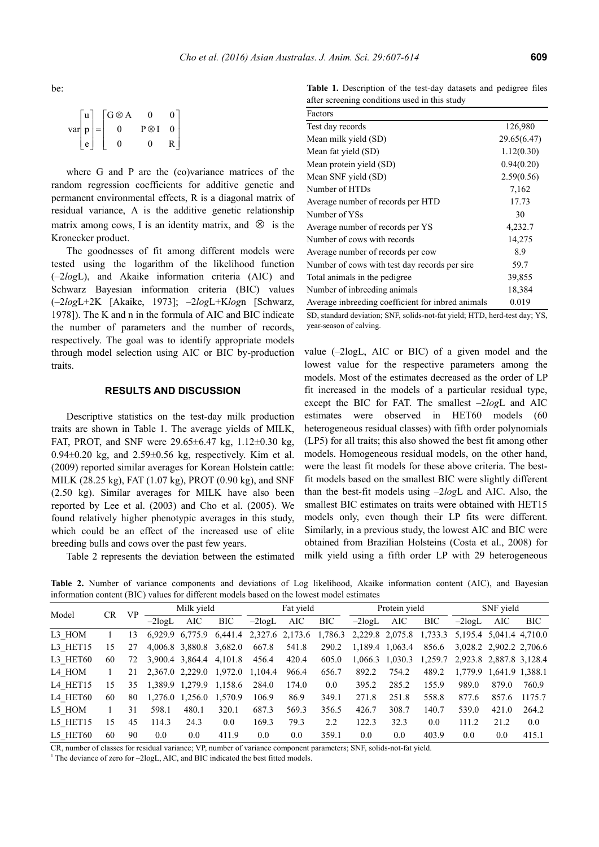be:

|              | u | $G \otimes A$ | ∩             | 0 |  |
|--------------|---|---------------|---------------|---|--|
| var  $p$   = |   | $\Omega$      | $P \otimes I$ | 0 |  |
|              | e |               |               | R |  |

where G and P are the (co)variance matrices of the random regression coefficients for additive genetic and permanent environmental effects, R is a diagonal matrix of residual variance, A is the additive genetic relationship matrix among cows, I is an identity matrix, and  $\otimes$  is the Kronecker product.

The goodnesses of fit among different models were tested using the logarithm of the likelihood function (–2*log*L), and Akaike information criteria (AIC) and Schwarz Bayesian information criteria (BIC) values (–2*log*L+2K [Akaike, 1973]; –2*log*L+K*log*n [Schwarz, 1978]). The K and n in the formula of AIC and BIC indicate the number of parameters and the number of records, respectively. The goal was to identify appropriate models through model selection using AIC or BIC by-production traits.

# **RESULTS AND DISCUSSION**

Descriptive statistics on the test-day milk production traits are shown in Table 1. The average yields of MILK, FAT, PROT, and SNF were 29.65±6.47 kg, 1.12±0.30 kg,  $0.94\pm0.20$  kg, and  $2.59\pm0.56$  kg, respectively. Kim et al. (2009) reported similar averages for Korean Holstein cattle: MILK (28.25 kg), FAT (1.07 kg), PROT (0.90 kg), and SNF (2.50 kg). Similar averages for MILK have also been reported by Lee et al. (2003) and Cho et al. (2005). We found relatively higher phenotypic averages in this study, which could be an effect of the increased use of elite breeding bulls and cows over the past few years.

Table 2 represents the deviation between the estimated

**Table 1.** Description of the test-day datasets and pedigree files after screening conditions used in this study

| Factors                                           |             |
|---------------------------------------------------|-------------|
| Test day records                                  | 126,980     |
| Mean milk yield (SD)                              | 29.65(6.47) |
| Mean fat yield (SD)                               | 1.12(0.30)  |
| Mean protein yield (SD)                           | 0.94(0.20)  |
| Mean SNF yield (SD)                               | 2.59(0.56)  |
| Number of HTDs                                    | 7,162       |
| Average number of records per HTD                 | 17.73       |
| Number of YSs                                     | 30          |
| Average number of records per YS                  | 4,232.7     |
| Number of cows with records                       | 14,275      |
| Average number of records per cow                 | 8.9         |
| Number of cows with test day records per sire.    | 59.7        |
| Total animals in the pedigree.                    | 39,855      |
| Number of inbreeding animals                      | 18,384      |
| Average inbreeding coefficient for inbred animals | 0.019       |
|                                                   |             |

SD, standard deviation; SNF, solids-not-fat yield; HTD, herd-test day; YS, year-season of calving.

value (–2logL, AIC or BIC) of a given model and the lowest value for the respective parameters among the models. Most of the estimates decreased as the order of LP fit increased in the models of a particular residual type, except the BIC for FAT. The smallest –2*log*L and AIC estimates were observed in HET60 models (60 heterogeneous residual classes) with fifth order polynomials (LP5) for all traits; this also showed the best fit among other models. Homogeneous residual models, on the other hand, were the least fit models for these above criteria. The bestfit models based on the smallest BIC were slightly different than the best-fit models using –2*log*L and AIC. Also, the smallest BIC estimates on traits were obtained with HET15 models only, even though their LP fits were different. Similarly, in a previous study, the lowest AIC and BIC were obtained from Brazilian Holsteins (Costa et al., 2008) for milk yield using a fifth order LP with 29 heterogeneous

**Table 2.** Number of variance components and deviations of Log likelihood, Akaike information content (AIC), and Bayesian information content (BIC) values for different models based on the lowest model estimates

| Model    | CR. | <b>VP</b> | Milk yield |                 | Fat vield  |          | Protein yield   |            |           | SNF yield       |         |           |                         |         |
|----------|-----|-----------|------------|-----------------|------------|----------|-----------------|------------|-----------|-----------------|---------|-----------|-------------------------|---------|
|          |     |           | $-2$ logL  | AIC             | <b>BIC</b> | $-2logL$ | AIC             | <b>BIC</b> | $-2$ logL | AIC             | BIC     | $-2$ logL | AIC                     | BIC.    |
| L3 HOM   |     | 13        |            | 6.929.9 6.775.9 | 6,441.4    |          | 2,327.6 2,173.6 | 1,786.3    |           | 2,229.8 2,075.8 | 1,733.3 |           | 5,195.4 5,041.4 4,710.0 |         |
| L3 HET15 | 15  | 27        |            | 4.006.8 3.880.8 | 3,682.0    | 667.8    | 541.8           | 290.2      |           | 1,189.4 1,063.4 | 856.6   |           | 3,028.2 2,902.2 2,706.6 |         |
| L3 HET60 | 60  | 72        |            | 3,900.4 3,864.4 | 4,101.8    | 456.4    | 420.4           | 605.0      |           | 1,066.3 1,030.3 | 1,259.7 |           | 2,923.8 2,887.8 3,128.4 |         |
| L4 HOM   |     | 21        |            | 2,367.0 2,229.0 | 1,972.0    | 1,104.4  | 966.4           | 656.7      | 892.2     | 754.2           | 489.2   |           | 1,779.9 1,641.9 1,388.1 |         |
| L4 HET15 | 15  | 35        |            | 1,389.9 1,279.9 | 1,158.6    | 284.0    | 174.0           | 0.0        | 395.2     | 285.2           | 155.9   | 989.0     | 879.0                   | 760.9   |
| L4 HET60 | 60  | 80        |            | 1,276.0 1,256.0 | 1,570.9    | 106.9    | 86.9            | 349.1      | 271.8     | 251.8           | 558.8   | 877.6     | 857.6                   | 1175.7  |
| L5 HOM   |     | 31        | 598.1      | 480.1           | 320.1      | 687.3    | 569.3           | 356.5      | 426.7     | 308.7           | 140.7   | 539.0     | 421.0                   | 264.2   |
| L5 HET15 | 15  | 45        | 114.3      | 24.3            | 0.0        | 169.3    | 79.3            | 2.2        | 122.3     | 32.3            | 0.0     | 111.2     | 21.2                    | $0.0\,$ |
| L5 HET60 | 60  | 90        | 0.0        | 0.0             | 411.9      | 0.0      | 0.0             | 359.1      | 0.0       | 0.0             | 403.9   | 0.0       | 0.0                     | 415.1   |

CR, number of classes for residual variance; VP, number of variance component parameters; SNF, solids-not-fat yield. 1

 $\overline{1}$ . The deviance of zero for  $-2\log L$ , AIC, and BIC indicated the best fitted models.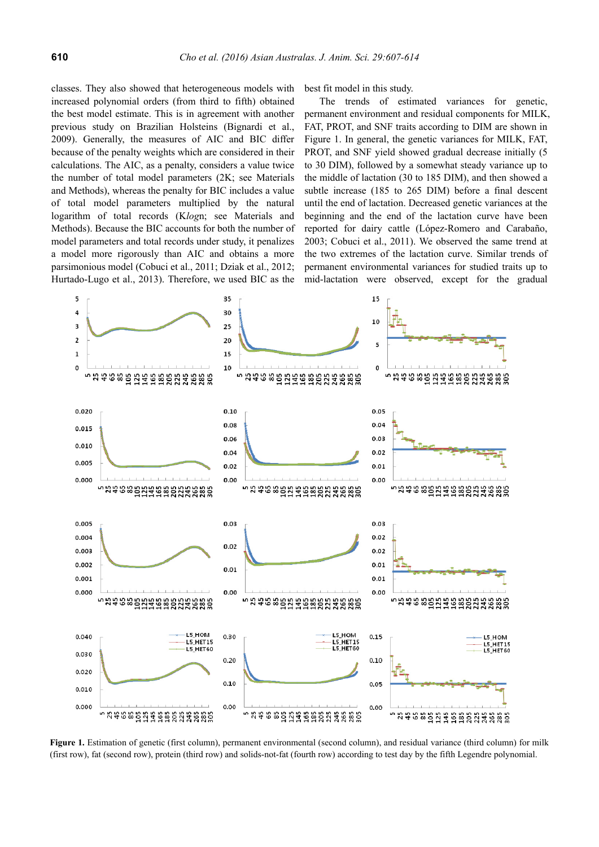classes. They also showed that heterogeneous models with increased polynomial orders (from third to fifth) obtained the best model estimate. This is in agreement with another previous study on Brazilian Holsteins (Bignardi et al., 2009). Generally, the measures of AIC and BIC differ because of the penalty weights which are considered in their calculations. The AIC, as a penalty, considers a value twice the number of total model parameters (2K; see Materials and Methods), whereas the penalty for BIC includes a value of total model parameters multiplied by the natural logarithm of total records (K*log*n; see Materials and Methods). Because the BIC accounts for both the number of model parameters and total records under study, it penalizes a model more rigorously than AIC and obtains a more parsimonious model (Cobuci et al., 2011; Dziak et al., 2012; Hurtado-Lugo et al., 2013). Therefore, we used BIC as the

best fit model in this study.

The trends of estimated variances for genetic, permanent environment and residual components for MILK, FAT, PROT, and SNF traits according to DIM are shown in Figure 1. In general, the genetic variances for MILK, FAT, PROT, and SNF yield showed gradual decrease initially (5 to 30 DIM), followed by a somewhat steady variance up to the middle of lactation (30 to 185 DIM), and then showed a subtle increase (185 to 265 DIM) before a final descent until the end of lactation. Decreased genetic variances at the beginning and the end of the lactation curve have been reported for dairy cattle (López-Romero and Carabaño, 2003; Cobuci et al., 2011). We observed the same trend at the two extremes of the lactation curve. Similar trends of permanent environmental variances for studied traits up to mid-lactation were observed, except for the gradual



**Figure 1.** Estimation of genetic (first column), permanent environmental (second column), and residual variance (third column) for milk (first row), fat (second row), protein (third row) and solids-not-fat (fourth row) according to test day by the fifth Legendre polynomial.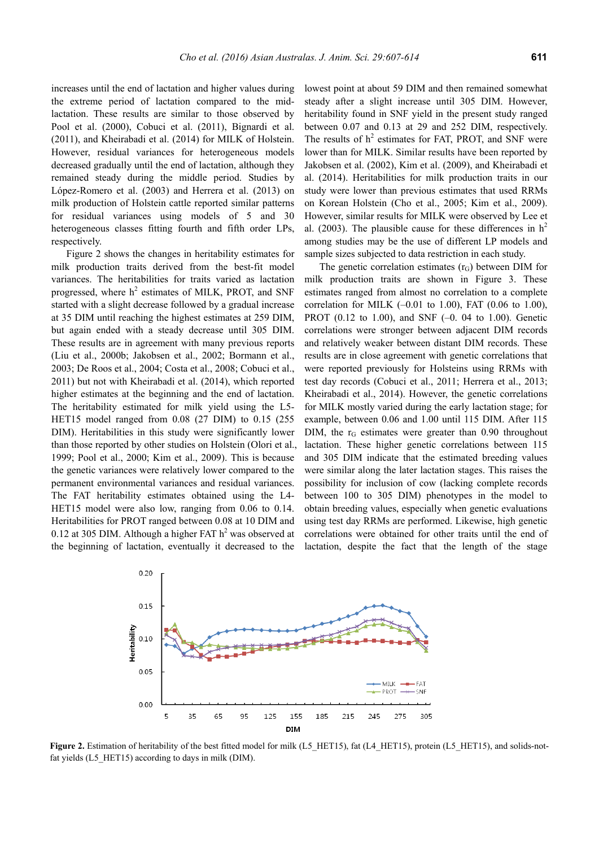increases until the end of lactation and higher values during the extreme period of lactation compared to the midlactation. These results are similar to those observed by Pool et al. (2000), Cobuci et al. (2011), Bignardi et al. (2011), and Kheirabadi et al. (2014) for MILK of Holstein. However, residual variances for heterogeneous models decreased gradually until the end of lactation, although they remained steady during the middle period. Studies by López-Romero et al. (2003) and Herrera et al. (2013) on milk production of Holstein cattle reported similar patterns for residual variances using models of 5 and 30 heterogeneous classes fitting fourth and fifth order LPs. respectively.

Figure 2 shows the changes in heritability estimates for milk production traits derived from the best-fit model variances. The heritabilities for traits varied as lactation progressed, where  $h^2$  estimates of MILK, PROT, and SNF started with a slight decrease followed by a gradual increase at 35 DIM until reaching the highest estimates at 259 DIM, but again ended with a steady decrease until 305 DIM. These results are in agreement with many previous reports (Liu et al., 2000b; Jakobsen et al., 2002; Bormann et al., 2003; De Roos et al., 2004; Costa et al., 2008; Cobuci et al., 2011) but not with Kheirabadi et al. (2014), which reported higher estimates at the beginning and the end of lactation. The heritability estimated for milk yield using the L5- HET15 model ranged from 0.08 (27 DIM) to 0.15 (255 DIM). Heritabilities in this study were significantly lower than those reported by other studies on Holstein (Olori et al., 1999; Pool et al., 2000; Kim et al., 2009). This is because the genetic variances were relatively lower compared to the permanent environmental variances and residual variances. The FAT heritability estimates obtained using the L4- HET15 model were also low, ranging from 0.06 to 0.14. Heritabilities for PROT ranged between 0.08 at 10 DIM and 0.12 at 305 DIM. Although a higher FAT  $h<sup>2</sup>$  was observed at the beginning of lactation, eventually it decreased to the

lowest point at about 59 DIM and then remained somewhat steady after a slight increase until 305 DIM. However, heritability found in SNF yield in the present study ranged between 0.07 and 0.13 at 29 and 252 DIM, respectively. The results of  $h^2$  estimates for FAT, PROT, and SNF were lower than for MILK. Similar results have been reported by Jakobsen et al. (2002), Kim et al. (2009), and Kheirabadi et al. (2014). Heritabilities for milk production traits in our study were lower than previous estimates that used RRMs on Korean Holstein (Cho et al., 2005; Kim et al., 2009). However, similar results for MILK were observed by Lee et al. (2003). The plausible cause for these differences in  $h^2$ among studies may be the use of different LP models and sample sizes subjected to data restriction in each study.

The genetic correlation estimates  $(r_G)$  between DIM for milk production traits are shown in Figure 3. These estimates ranged from almost no correlation to a complete correlation for MILK  $(-0.01 \text{ to } 1.00)$ , FAT  $(0.06 \text{ to } 1.00)$ , PROT (0.12 to 1.00), and SNF (–0. 04 to 1.00). Genetic correlations were stronger between adjacent DIM records and relatively weaker between distant DIM records. These results are in close agreement with genetic correlations that were reported previously for Holsteins using RRMs with test day records (Cobuci et al., 2011; Herrera et al., 2013; Kheirabadi et al., 2014). However, the genetic correlations for MILK mostly varied during the early lactation stage; for example, between 0.06 and 1.00 until 115 DIM. After 115 DIM, the  $r_G$  estimates were greater than 0.90 throughout lactation. These higher genetic correlations between 115 and 305 DIM indicate that the estimated breeding values were similar along the later lactation stages. This raises the possibility for inclusion of cow (lacking complete records between 100 to 305 DIM) phenotypes in the model to obtain breeding values, especially when genetic evaluations using test day RRMs are performed. Likewise, high genetic correlations were obtained for other traits until the end of lactation, despite the fact that the length of the stage



**Figure 2.** Estimation of heritability of the best fitted model for milk (L5\_HET15), fat (L4\_HET15), protein (L5\_HET15), and solids-notfat yields (L5 HET15) according to days in milk (DIM).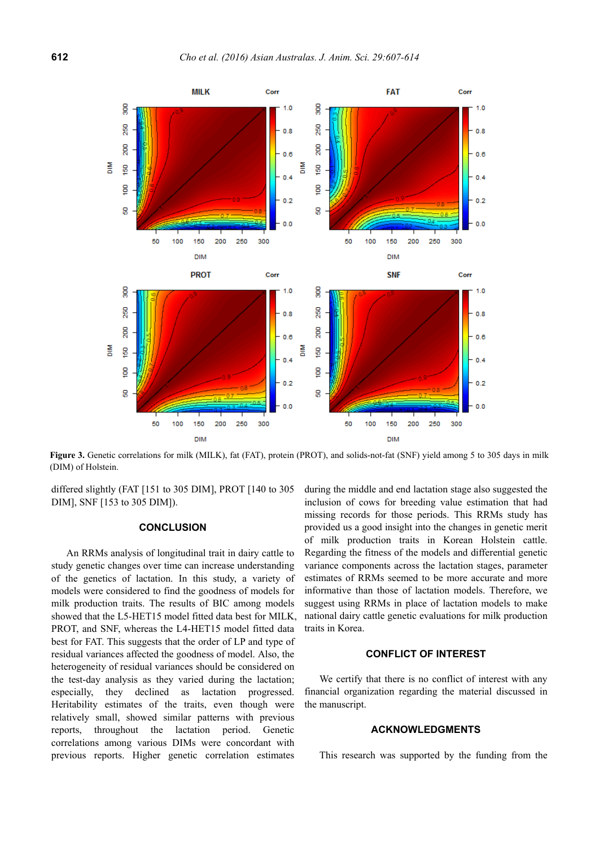

**Figure 3.** Genetic correlations for milk (MILK), fat (FAT), protein (PROT), and solids-not-fat (SNF) yield among 5 to 305 days in milk (DIM) of Holstein.

differed slightly (FAT [151 to 305 DIM], PROT [140 to 305 DIM], SNF [153 to 305 DIM]).

# **CONCLUSION**

An RRMs analysis of longitudinal trait in dairy cattle to study genetic changes over time can increase understanding of the genetics of lactation. In this study, a variety of models were considered to find the goodness of models for milk production traits. The results of BIC among models showed that the L5-HET15 model fitted data best for MILK, PROT, and SNF, whereas the L4-HET15 model fitted data best for FAT. This suggests that the order of LP and type of residual variances affected the goodness of model. Also, the heterogeneity of residual variances should be considered on the test-day analysis as they varied during the lactation; especially, they declined as lactation progressed. Heritability estimates of the traits, even though were relatively small, showed similar patterns with previous reports, throughout the lactation period. Genetic correlations among various DIMs were concordant with previous reports. Higher genetic correlation estimates during the middle and end lactation stage also suggested the inclusion of cows for breeding value estimation that had missing records for those periods. This RRMs study has provided us a good insight into the changes in genetic merit of milk production traits in Korean Holstein cattle. Regarding the fitness of the models and differential genetic variance components across the lactation stages, parameter estimates of RRMs seemed to be more accurate and more informative than those of lactation models. Therefore, we suggest using RRMs in place of lactation models to make national dairy cattle genetic evaluations for milk production traits in Korea.

# **CONFLICT OF INTEREST**

We certify that there is no conflict of interest with any financial organization regarding the material discussed in the manuscript.

# **ACKNOWLEDGMENTS**

This research was supported by the funding from the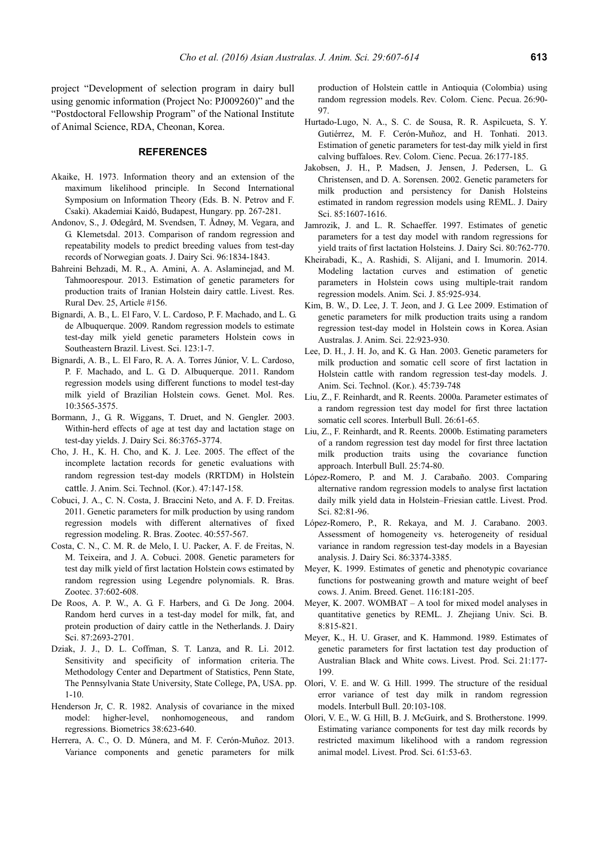project "Development of selection program in dairy bull using genomic information (Project No: PJ009260)" and the "Postdoctoral Fellowship Program" of the National Institute of Animal Science, RDA, Cheonan, Korea.

## **REFERENCES**

- Akaike, H. 1973. Information theory and an extension of the maximum likelihood principle. In Second International Symposium on Information Theory (Eds. B. N. Petrov and F. Csaki). Akademiai Kaidó, Budapest, Hungary. pp. 267-281.
- Andonov, S., J. Ødegård, M. Svendsen, T. Ådnøy, M. Vegara, and G. Klemetsdal. 2013. Comparison of random regression and repeatability models to predict breeding values from test-day records of Norwegian goats. J. Dairy Sci. 96:1834-1843.
- Bahreini Behzadi, M. R., A. Amini, A. A. Aslaminejad, and M. Tahmoorespour. 2013. Estimation of genetic parameters for production traits of Iranian Holstein dairy cattle. Livest. Res. Rural Dev. 25, Article #156.
- Bignardi, A. B., L. El Faro, V. L. Cardoso, P. F. Machado, and L. G. de Albuquerque. 2009. Random regression models to estimate test-day milk yield genetic parameters Holstein cows in Southeastern Brazil. Livest. Sci. 123:1-7.
- Bignardi, A. B., L. El Faro, R. A. A. Torres Júnior, V. L. Cardoso, P. F. Machado, and L. G. D. Albuquerque. 2011. Random regression models using different functions to model test-day milk yield of Brazilian Holstein cows. Genet. Mol. Res. 10:3565-3575.
- Bormann, J., G. R. Wiggans, T. Druet, and N. Gengler. 2003. Within-herd effects of age at test day and lactation stage on test-day yields. J. Dairy Sci. 86:3765-3774.
- Cho, J. H., K. H. Cho, and K. J. Lee. 2005. The effect of the incomplete lactation records for genetic evaluations with random regression test-day models (RRTDM) in Holstein cattle. J. Anim. Sci. Technol. (Kor.). 47:147-158.
- Cobuci, J. A., C. N. Costa, J. Braccini Neto, and A. F. D. Freitas. 2011. Genetic parameters for milk production by using random regression models with different alternatives of fixed regression modeling. R. Bras. Zootec. 40:557-567.
- Costa, C. N., C. M. R. de Melo, I. U. Packer, A. F. de Freitas, N. M. Teixeira, and J. A. Cobuci. 2008. Genetic parameters for test day milk yield of first lactation Holstein cows estimated by random regression using Legendre polynomials. R. Bras. Zootec. 37:602-608.
- De Roos, A. P. W., A. G. F. Harbers, and G. De Jong. 2004. Random herd curves in a test-day model for milk, fat, and protein production of dairy cattle in the Netherlands. J. Dairy Sci. 87:2693-2701.
- Dziak, J. J., D. L. Coffman, S. T. Lanza, and R. Li. 2012. Sensitivity and specificity of information criteria. The Methodology Center and Department of Statistics, Penn State, The Pennsylvania State University, State College, PA, USA. pp. 1-10.
- Henderson Jr, C. R. 1982. Analysis of covariance in the mixed model: higher-level, nonhomogeneous, and random regressions. Biometrics 38:623-640.
- Herrera, A. C., O. D. Múnera, and M. F. Cerón-Muñoz. 2013. Variance components and genetic parameters for milk

production of Holstein cattle in Antioquia (Colombia) using random regression models. Rev. Colom. Cienc. Pecua. 26:90- 97.

- Hurtado-Lugo, N. A., S. C. de Sousa, R. R. Aspilcueta, S. Y. Gutiérrez, M. F. Cerón-Muñoz, and H. Tonhati. 2013. Estimation of genetic parameters for test-day milk yield in first calving buffaloes. Rev. Colom. Cienc. Pecua. 26:177-185.
- Jakobsen, J. H., P. Madsen, J. Jensen, J. Pedersen, L. G. Christensen, and D. A. Sorensen. 2002. Genetic parameters for milk production and persistency for Danish Holsteins estimated in random regression models using REML. J. Dairy Sci. 85:1607-1616.
- Jamrozik, J. and L. R. Schaeffer. 1997. Estimates of genetic parameters for a test day model with random regressions for yield traits of first lactation Holsteins. J. Dairy Sci. 80:762-770.
- Kheirabadi, K., A. Rashidi, S. Alijani, and I. Imumorin. 2014. Modeling lactation curves and estimation of genetic parameters in Holstein cows using multiple-trait random regression models. Anim. Sci. J. 85:925-934.
- Kim, B. W., D. Lee, J. T. Jeon, and J. G. Lee 2009. Estimation of genetic parameters for milk production traits using a random regression test-day model in Holstein cows in Korea. Asian Australas. J. Anim. Sci. 22:923-930.
- Lee, D. H., J. H. Jo, and K. G. Han. 2003. Genetic parameters for milk production and somatic cell score of first lactation in Holstein cattle with random regression test-day models. J. Anim. Sci. Technol. (Kor.). 45:739-748
- Liu, Z., F. Reinhardt, and R. Reents. 2000a. Parameter estimates of a random regression test day model for first three lactation somatic cell scores. Interbull Bull. 26:61-65.
- Liu, Z., F. Reinhardt, and R. Reents. 2000b. Estimating parameters of a random regression test day model for first three lactation milk production traits using the covariance function approach. Interbull Bull. 25:74-80.
- López-Romero, P. and M. J. Carabaño. 2003. Comparing alternative random regression models to analyse first lactation daily milk yield data in Holstein–Friesian cattle. Livest. Prod. Sci. 82:81-96.
- López-Romero, P., R. Rekaya, and M. J. Carabano. 2003. Assessment of homogeneity vs. heterogeneity of residual variance in random regression test-day models in a Bayesian analysis. J. Dairy Sci. 86:3374-3385.
- Meyer, K. 1999. Estimates of genetic and phenotypic covariance functions for postweaning growth and mature weight of beef cows. J. Anim. Breed. Genet. 116:181-205.
- Meyer, K. 2007. WOMBAT A tool for mixed model analyses in quantitative genetics by REML. J. Zhejiang Univ. Sci. B. 8:815-821.
- Meyer, K., H. U. Graser, and K. Hammond. 1989. Estimates of genetic parameters for first lactation test day production of Australian Black and White cows. Livest. Prod. Sci. 21:177- 199.
- Olori, V. E. and W. G. Hill. 1999. The structure of the residual error variance of test day milk in random regression models. Interbull Bull. 20:103-108.
- Olori, V. E., W. G. Hill, B. J. McGuirk, and S. Brotherstone. 1999. Estimating variance components for test day milk records by restricted maximum likelihood with a random regression animal model. Livest. Prod. Sci. 61:53-63.